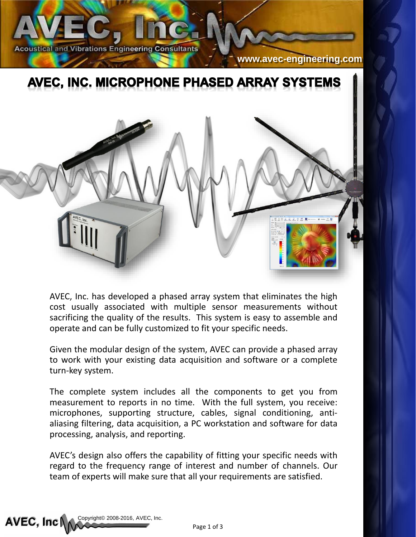

**[www.avec-engineering.com](http://www.avec-engineering.com/)**

## AVEC, INC. MICROPHONE PHASED ARRAY SYSTEMS



AVEC, Inc. has developed a phased array system that eliminates the high cost usually associated with multiple sensor measurements without sacrificing the quality of the results. This system is easy to assemble and operate and can be fully customized to fit your specific needs.

Given the modular design of the system, AVEC can provide a phased array to work with your existing data acquisition and software or a complete turn-key system.

The complete system includes all the components to get you from measurement to reports in no time. With the full system, you receive: microphones, supporting structure, cables, signal conditioning, antialiasing filtering, data acquisition, a PC workstation and software for data processing, analysis, and reporting.

AVEC's design also offers the capability of fitting your specific needs with regard to the frequency range of interest and number of channels. Our team of experts will make sure that all your requirements are satisfied.

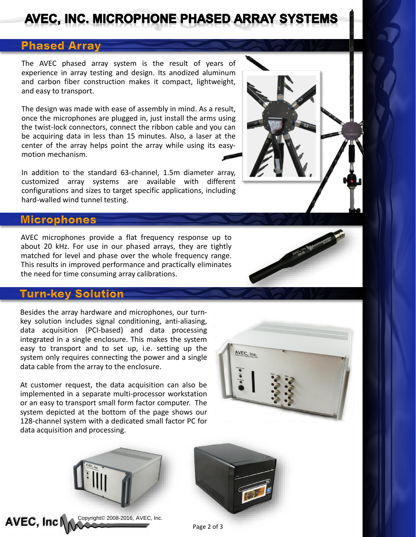# AVEC, INC. MICROPHONE PHASED ARRAY SYSTEMS

## **Phased Array**

The AVEC phased array system is the result of years of experience in array testing and design. Its anodized aluminum and carbon fiber construction makes it compact, lightweight, and easy to transport.

The design was made with ease of assembly in mind. As a result, once the microphones are plugged in, just install the arms using the twist-lock connectors, connect the ribbon cable and you can be acquiring data in less than 15 minutes. Also, a laser at the center of the array helps point the array while using its easymotion mechanism.

In addition to the standard 63-channel, 1.5m diameter array, customized array systems are available with different configurations and sizes to target specific applications, including hard-walled wind tunnel testing.

#### **Microphones**

AVEC microphones provide a flat frequency response up to about 20 kHz. For use in our phased arrays, they are tightly matched for level and phase over the whole frequency range. This results in improved performance and practically eliminates the need for time consuming array calibrations.

### **Turn-key Solution**

AVEC, Inc

Besides the array hardware and microphones, our turnkey solution includes signal conditioning, anti-aliasing, data acquisition (PCI-based) and data processing integrated in a single enclosure. This makes the system easy to transport and to set up, i.e. setting up the system only requires connecting the power and a single data cable from the array to the enclosure.

At customer request, the data acquisition can also be implemented in a separate multi-processor workstation or an easy to transport small form factor computer. The system depicted at the bottom of the page shows our 128-channel system with a dedicated small factor PC for data acquisition and processing.



Page 2 of 3